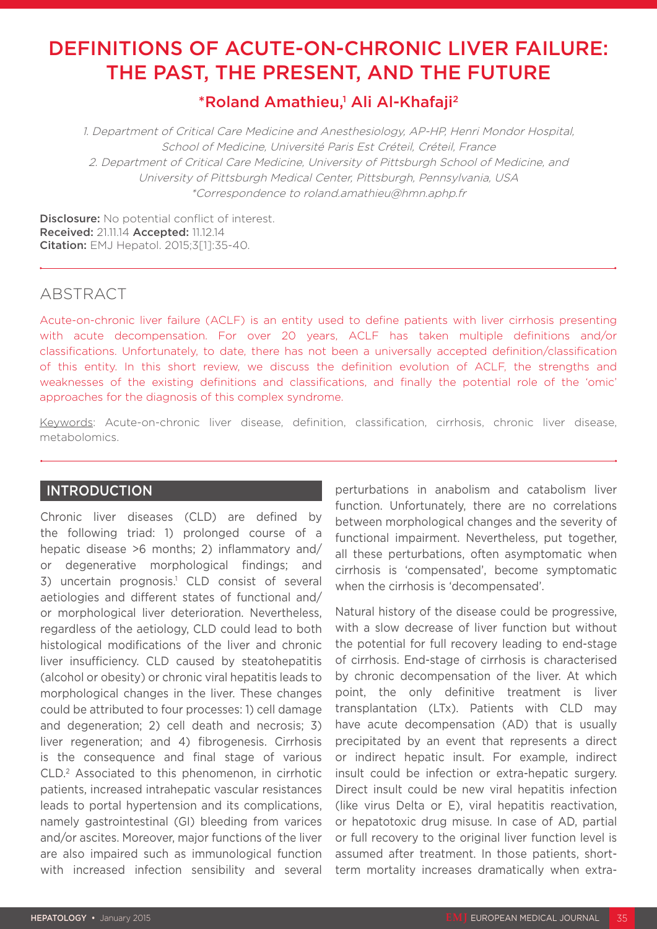# DEFINITIONS OF ACUTE-ON-CHRONIC LIVER FAILURE: THE PAST, THE PRESENT, AND THE FUTURE

# \*Roland Amathieu,<sup>1</sup> Ali Al-Khafaji<sup>2</sup>

1. Department of Critical Care Medicine and Anesthesiology, AP-HP, Henri Mondor Hospital, School of Medicine, Université Paris Est Créteil, Créteil, France 2. Department of Critical Care Medicine, University of Pittsburgh School of Medicine, and University of Pittsburgh Medical Center, Pittsburgh, Pennsylvania, USA \*Correspondence to roland.amathieu@hmn.aphp.fr

Disclosure: No potential conflict of interest. Received: 21.11.14 Accepted: 11.12.14 Citation: EMJ Hepatol. 2015;3[1]:35-40.

# ABSTRACT

Acute-on-chronic liver failure (ACLF) is an entity used to define patients with liver cirrhosis presenting with acute decompensation. For over 20 years, ACLF has taken multiple definitions and/or classifications. Unfortunately, to date, there has not been a universally accepted definition/classification of this entity. In this short review, we discuss the definition evolution of ACLF, the strengths and weaknesses of the existing definitions and classifications, and finally the potential role of the 'omic' approaches for the diagnosis of this complex syndrome.

Keywords: Acute-on-chronic liver disease, definition, classification, cirrhosis, chronic liver disease, metabolomics.

## **INTRODUCTION**

Chronic liver diseases (CLD) are defined by the following triad: 1) prolonged course of a hepatic disease >6 months; 2) inflammatory and/ or degenerative morphological findings; and 3) uncertain prognosis.<sup>1</sup> CLD consist of several aetiologies and different states of functional and/ or morphological liver deterioration. Nevertheless, regardless of the aetiology, CLD could lead to both histological modifications of the liver and chronic liver insufficiency. CLD caused by steatohepatitis (alcohol or obesity) or chronic viral hepatitis leads to morphological changes in the liver. These changes could be attributed to four processes: 1) cell damage and degeneration; 2) cell death and necrosis; 3) liver regeneration; and 4) fibrogenesis. Cirrhosis is the consequence and final stage of various CLD.2 Associated to this phenomenon, in cirrhotic patients, increased intrahepatic vascular resistances leads to portal hypertension and its complications, namely gastrointestinal (GI) bleeding from varices and/or ascites. Moreover, major functions of the liver are also impaired such as immunological function with increased infection sensibility and several

perturbations in anabolism and catabolism liver function. Unfortunately, there are no correlations between morphological changes and the severity of functional impairment. Nevertheless, put together, all these perturbations, often asymptomatic when cirrhosis is 'compensated', become symptomatic when the cirrhosis is 'decompensated'.

Natural history of the disease could be progressive, with a slow decrease of liver function but without the potential for full recovery leading to end-stage of cirrhosis. End-stage of cirrhosis is characterised by chronic decompensation of the liver. At which point, the only definitive treatment is liver transplantation (LTx). Patients with CLD may have acute decompensation (AD) that is usually precipitated by an event that represents a direct or indirect hepatic insult. For example, indirect insult could be infection or extra-hepatic surgery. Direct insult could be new viral hepatitis infection (like virus Delta or E), viral hepatitis reactivation, or hepatotoxic drug misuse. In case of AD, partial or full recovery to the original liver function level is assumed after treatment. In those patients, shortterm mortality increases dramatically when extra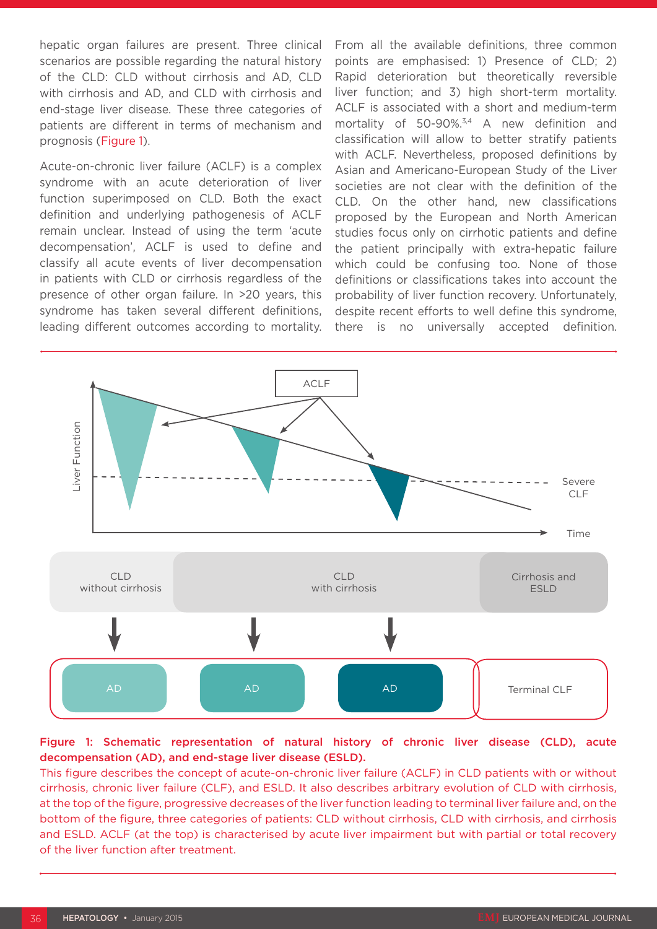hepatic organ failures are present. Three clinical scenarios are possible regarding the natural history of the CLD: CLD without cirrhosis and AD, CLD with cirrhosis and AD, and CLD with cirrhosis and end-stage liver disease. These three categories of patients are different in terms of mechanism and prognosis (Figure 1).

Acute-on-chronic liver failure (ACLF) is a complex syndrome with an acute deterioration of liver function superimposed on CLD. Both the exact definition and underlying pathogenesis of ACLF remain unclear. Instead of using the term 'acute decompensation', ACLF is used to define and classify all acute events of liver decompensation in patients with CLD or cirrhosis regardless of the presence of other organ failure. In >20 years, this syndrome has taken several different definitions, leading different outcomes according to mortality. From all the available definitions, three common points are emphasised: 1) Presence of CLD; 2) Rapid deterioration but theoretically reversible liver function; and 3) high short-term mortality. ACLF is associated with a short and medium-term mortality of 50-90%.3,4 A new definition and classification will allow to better stratify patients with ACLF. Nevertheless, proposed definitions by Asian and Americano-European Study of the Liver societies are not clear with the definition of the CLD. On the other hand, new classifications proposed by the European and North American studies focus only on cirrhotic patients and define the patient principally with extra-hepatic failure which could be confusing too. None of those definitions or classifications takes into account the probability of liver function recovery. Unfortunately, despite recent efforts to well define this syndrome, there is no universally accepted definition.



#### Figure 1: Schematic representation of natural history of chronic liver disease (CLD), acute decompensation (AD), and end-stage liver disease (ESLD).

This figure describes the concept of acute-on-chronic liver failure (ACLF) in CLD patients with or without cirrhosis, chronic liver failure (CLF), and ESLD. It also describes arbitrary evolution of CLD with cirrhosis, at the top of the figure, progressive decreases of the liver function leading to terminal liver failure and, on the bottom of the figure, three categories of patients: CLD without cirrhosis, CLD with cirrhosis, and cirrhosis and ESLD. ACLF (at the top) is characterised by acute liver impairment but with partial or total recovery of the liver function after treatment.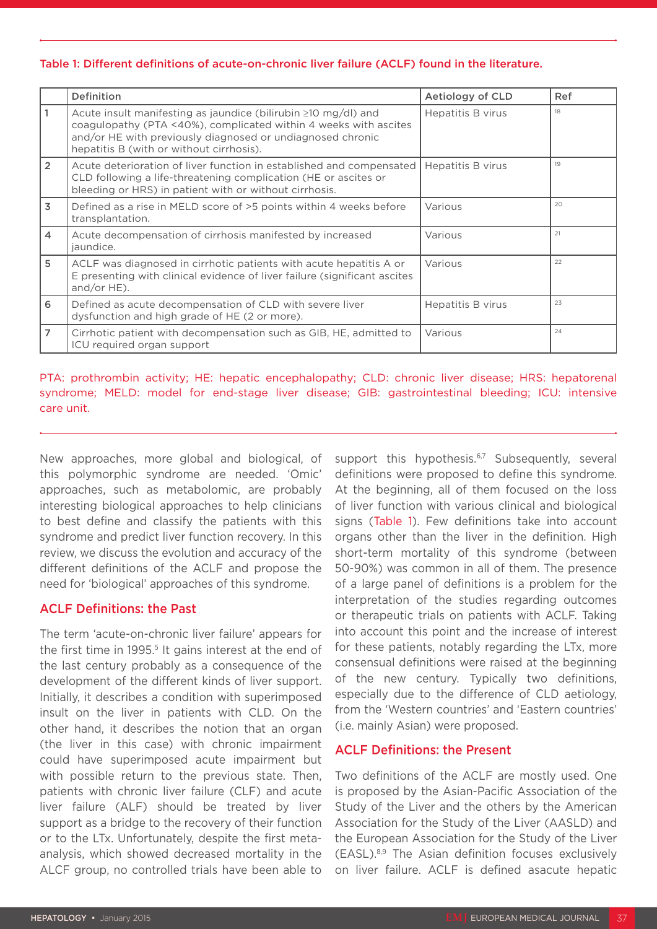#### Table 1: Different definitions of acute-on-chronic liver failure (ACLF) found in the literature.

|                | Definition                                                                                                                                                                                                                                         | Aetiology of CLD  | Ref |
|----------------|----------------------------------------------------------------------------------------------------------------------------------------------------------------------------------------------------------------------------------------------------|-------------------|-----|
|                | Acute insult manifesting as jaundice (bilirubin $\geq 10$ mg/dl) and<br>coagulopathy (PTA <40%), complicated within 4 weeks with ascites<br>and/or HE with previously diagnosed or undiagnosed chronic<br>hepatitis B (with or without cirrhosis). | Hepatitis B virus | 18  |
| $\overline{2}$ | Acute deterioration of liver function in established and compensated<br>CLD following a life-threatening complication (HE or ascites or<br>bleeding or HRS) in patient with or without cirrhosis.                                                  | Hepatitis B virus | 19  |
| $\overline{3}$ | Defined as a rise in MELD score of >5 points within 4 weeks before<br>transplantation.                                                                                                                                                             | Various           | 20  |
| $\overline{4}$ | Acute decompensation of cirrhosis manifested by increased<br>jaundice.                                                                                                                                                                             | Various           | 21  |
| 5              | ACLF was diagnosed in cirrhotic patients with acute hepatitis A or<br>E presenting with clinical evidence of liver failure (significant ascites<br>and/or $HE$ ).                                                                                  | Various           | 22  |
| 6              | Defined as acute decompensation of CLD with severe liver<br>dysfunction and high grade of HE (2 or more).                                                                                                                                          | Hepatitis B virus | 23  |
| $\overline{7}$ | Cirrhotic patient with decompensation such as GIB, HE, admitted to<br>ICU required organ support                                                                                                                                                   | Various           | 24  |

PTA: prothrombin activity; HE: hepatic encephalopathy; CLD: chronic liver disease; HRS: hepatorenal syndrome; MELD: model for end-stage liver disease; GIB: gastrointestinal bleeding; ICU: intensive care unit.

New approaches, more global and biological, of this polymorphic syndrome are needed. 'Omic' approaches, such as metabolomic, are probably interesting biological approaches to help clinicians to best define and classify the patients with this syndrome and predict liver function recovery. In this review, we discuss the evolution and accuracy of the different definitions of the ACLF and propose the need for 'biological' approaches of this syndrome.

## ACLF Definitions: the Past

The term 'acute-on-chronic liver failure' appears for the first time in 1995.<sup>5</sup> It gains interest at the end of the last century probably as a consequence of the development of the different kinds of liver support. Initially, it describes a condition with superimposed insult on the liver in patients with CLD. On the other hand, it describes the notion that an organ (the liver in this case) with chronic impairment could have superimposed acute impairment but with possible return to the previous state. Then, patients with chronic liver failure (CLF) and acute liver failure (ALF) should be treated by liver support as a bridge to the recovery of their function or to the LTx. Unfortunately, despite the first metaanalysis, which showed decreased mortality in the ALCF group, no controlled trials have been able to

support this hypothesis. $6,7$  Subsequently, several definitions were proposed to define this syndrome. At the beginning, all of them focused on the loss of liver function with various clinical and biological signs (Table 1). Few definitions take into account organs other than the liver in the definition. High short-term mortality of this syndrome (between 50-90%) was common in all of them. The presence of a large panel of definitions is a problem for the interpretation of the studies regarding outcomes or therapeutic trials on patients with ACLF. Taking into account this point and the increase of interest for these patients, notably regarding the LTx, more consensual definitions were raised at the beginning of the new century. Typically two definitions, especially due to the difference of CLD aetiology, from the 'Western countries' and 'Eastern countries' (i.e. mainly Asian) were proposed.

## ACLF Definitions: the Present

Two definitions of the ACLF are mostly used. One is proposed by the Asian-Pacific Association of the Study of the Liver and the others by the American Association for the Study of the Liver (AASLD) and the European Association for the Study of the Liver (EASL).8,9 The Asian definition focuses exclusively on liver failure. ACLF is defined asacute hepatic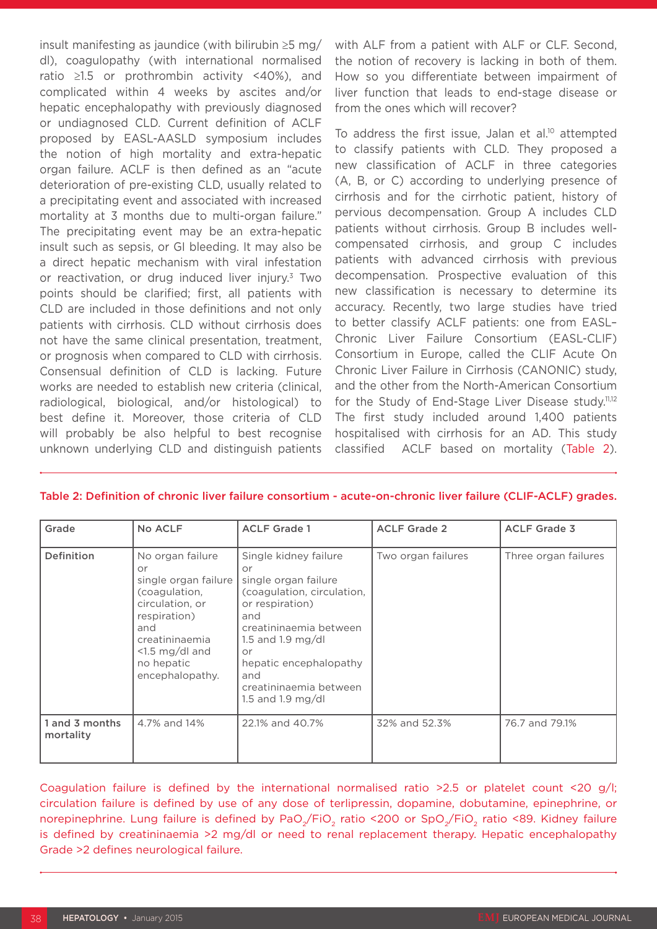insult manifesting as jaundice (with bilirubin ≥5 mg/ dl), coagulopathy (with international normalised ratio ≥1.5 or prothrombin activity <40%), and complicated within 4 weeks by ascites and/or hepatic encephalopathy with previously diagnosed or undiagnosed CLD. Current definition of ACLF proposed by EASL-AASLD symposium includes the notion of high mortality and extra-hepatic organ failure. ACLF is then defined as an "acute deterioration of pre-existing CLD, usually related to a precipitating event and associated with increased mortality at 3 months due to multi-organ failure." The precipitating event may be an extra-hepatic insult such as sepsis, or GI bleeding. It may also be a direct hepatic mechanism with viral infestation or reactivation, or drug induced liver injury.3 Two points should be clarified; first, all patients with CLD are included in those definitions and not only patients with cirrhosis. CLD without cirrhosis does not have the same clinical presentation, treatment, or prognosis when compared to CLD with cirrhosis. Consensual definition of CLD is lacking. Future works are needed to establish new criteria (clinical, radiological, biological, and/or histological) to best define it. Moreover, those criteria of CLD will probably be also helpful to best recognise unknown underlying CLD and distinguish patients

with ALF from a patient with ALF or CLF. Second, the notion of recovery is lacking in both of them. How so you differentiate between impairment of liver function that leads to end-stage disease or from the ones which will recover?

To address the first issue, Jalan et al.<sup>10</sup> attempted to classify patients with CLD. They proposed a new classification of ACLF in three categories (A, B, or C) according to underlying presence of cirrhosis and for the cirrhotic patient, history of pervious decompensation. Group A includes CLD patients without cirrhosis. Group B includes wellcompensated cirrhosis, and group C includes patients with advanced cirrhosis with previous decompensation. Prospective evaluation of this new classification is necessary to determine its accuracy. Recently, two large studies have tried to better classify ACLF patients: one from EASL– Chronic Liver Failure Consortium (EASL-CLIF) Consortium in Europe, called the CLIF Acute On Chronic Liver Failure in Cirrhosis (CANONIC) study, and the other from the North-American Consortium for the Study of End-Stage Liver Disease study.<sup>11,12</sup> The first study included around 1,400 patients hospitalised with cirrhosis for an AD. This study classified ACLF based on mortality (Table 2).

| Grade                       | No ACLF                                                                                                                                                                           | <b>ACLF Grade 1</b>                                                                                                                                                                                                                              | <b>ACLF Grade 2</b> | <b>ACLF Grade 3</b>  |
|-----------------------------|-----------------------------------------------------------------------------------------------------------------------------------------------------------------------------------|--------------------------------------------------------------------------------------------------------------------------------------------------------------------------------------------------------------------------------------------------|---------------------|----------------------|
| <b>Definition</b>           | No organ failure<br>or<br>single organ failure<br>(coagulation,<br>circulation, or<br>respiration)<br>and<br>creatininaemia<br>$<$ 1.5 mg/dl and<br>no hepatic<br>encephalopathy. | Single kidney failure<br>or<br>single organ failure<br>(coagulation, circulation,<br>or respiration)<br>and<br>creatininaemia between<br>1.5 and 1.9 mg/dl<br>or<br>hepatic encephalopathy<br>and<br>creatininaemia between<br>1.5 and 1.9 mg/dl | Two organ failures  | Three organ failures |
| 1 and 3 months<br>mortality | 4.7% and 14%                                                                                                                                                                      | 22.1% and 40.7%                                                                                                                                                                                                                                  | 32% and 52.3%       | 76.7 and 79.1%       |

#### Table 2: Definition of chronic liver failure consortium - acute-on-chronic liver failure (CLIF-ACLF) grades.

Coagulation failure is defined by the international normalised ratio >2.5 or platelet count <20 g/l; circulation failure is defined by use of any dose of terlipressin, dopamine, dobutamine, epinephrine, or norepinephrine. Lung failure is defined by PaO<sub>2</sub>/FiO<sub>2</sub> ratio <200 or SpO<sub>2</sub>/FiO<sub>2</sub> ratio <89. Kidney failure is defined by creatininaemia >2 mg/dl or need to renal replacement therapy. Hepatic encephalopathy Grade >2 defines neurological failure.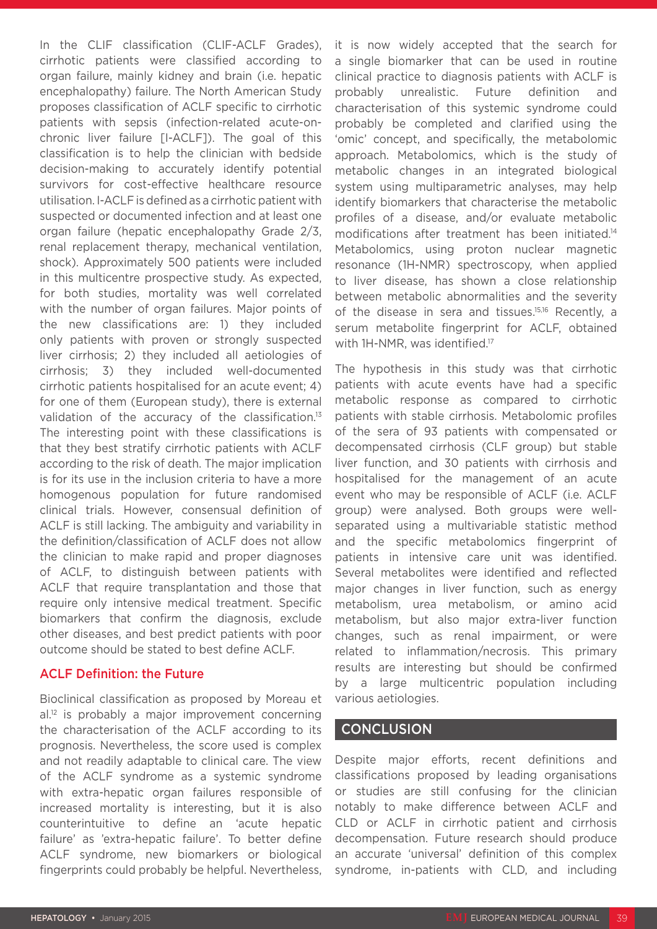In the CLIF classification (CLIF-ACLF Grades), cirrhotic patients were classified according to organ failure, mainly kidney and brain (i.e. hepatic encephalopathy) failure. The North American Study proposes classification of ACLF specific to cirrhotic patients with sepsis (infection-related acute-onchronic liver failure [I-ACLF]). The goal of this classification is to help the clinician with bedside decision-making to accurately identify potential survivors for cost-effective healthcare resource utilisation. I-ACLF is defined as a cirrhotic patient with suspected or documented infection and at least one organ failure (hepatic encephalopathy Grade 2/3, renal replacement therapy, mechanical ventilation, shock). Approximately 500 patients were included in this multicentre prospective study. As expected, for both studies, mortality was well correlated with the number of organ failures. Major points of the new classifications are: 1) they included only patients with proven or strongly suspected liver cirrhosis; 2) they included all aetiologies of cirrhosis; 3) they included well-documented cirrhotic patients hospitalised for an acute event; 4) for one of them (European study), there is external validation of the accuracy of the classification.<sup>13</sup> The interesting point with these classifications is that they best stratify cirrhotic patients with ACLF according to the risk of death. The major implication is for its use in the inclusion criteria to have a more homogenous population for future randomised clinical trials. However, consensual definition of ACLF is still lacking. The ambiguity and variability in the definition/classification of ACLF does not allow the clinician to make rapid and proper diagnoses of ACLF, to distinguish between patients with ACLF that require transplantation and those that require only intensive medical treatment. Specific biomarkers that confirm the diagnosis, exclude other diseases, and best predict patients with poor outcome should be stated to best define ACLF.

## ACLF Definition: the Future

Bioclinical classification as proposed by Moreau et al.<sup>12</sup> is probably a major improvement concerning the characterisation of the ACLF according to its prognosis. Nevertheless, the score used is complex and not readily adaptable to clinical care. The view of the ACLF syndrome as a systemic syndrome with extra-hepatic organ failures responsible of increased mortality is interesting, but it is also counterintuitive to define an 'acute hepatic failure' as 'extra-hepatic failure'. To better define ACLF syndrome, new biomarkers or biological fingerprints could probably be helpful. Nevertheless,

it is now widely accepted that the search for a single biomarker that can be used in routine clinical practice to diagnosis patients with ACLF is probably unrealistic. Future definition and characterisation of this systemic syndrome could probably be completed and clarified using the 'omic' concept, and specifically, the metabolomic approach. Metabolomics, which is the study of metabolic changes in an integrated biological system using multiparametric analyses, may help identify biomarkers that characterise the metabolic profiles of a disease, and/or evaluate metabolic modifications after treatment has been initiated.14 Metabolomics, using proton nuclear magnetic resonance (1H-NMR) spectroscopy, when applied to liver disease, has shown a close relationship between metabolic abnormalities and the severity of the disease in sera and tissues.15,16 Recently, a serum metabolite fingerprint for ACLF, obtained with 1H-NMR, was identified.<sup>17</sup>

The hypothesis in this study was that cirrhotic patients with acute events have had a specific metabolic response as compared to cirrhotic patients with stable cirrhosis. Metabolomic profiles of the sera of 93 patients with compensated or decompensated cirrhosis (CLF group) but stable liver function, and 30 patients with cirrhosis and hospitalised for the management of an acute event who may be responsible of ACLF (i.e. ACLF group) were analysed. Both groups were wellseparated using a multivariable statistic method and the specific metabolomics fingerprint of patients in intensive care unit was identified. Several metabolites were identified and reflected major changes in liver function, such as energy metabolism, urea metabolism, or amino acid metabolism, but also major extra-liver function changes, such as renal impairment, or were related to inflammation/necrosis. This primary results are interesting but should be confirmed by a large multicentric population including various aetiologies.

## **CONCLUSION**

Despite major efforts, recent definitions and classifications proposed by leading organisations or studies are still confusing for the clinician notably to make difference between ACLF and CLD or ACLF in cirrhotic patient and cirrhosis decompensation. Future research should produce an accurate 'universal' definition of this complex syndrome, in-patients with CLD, and including